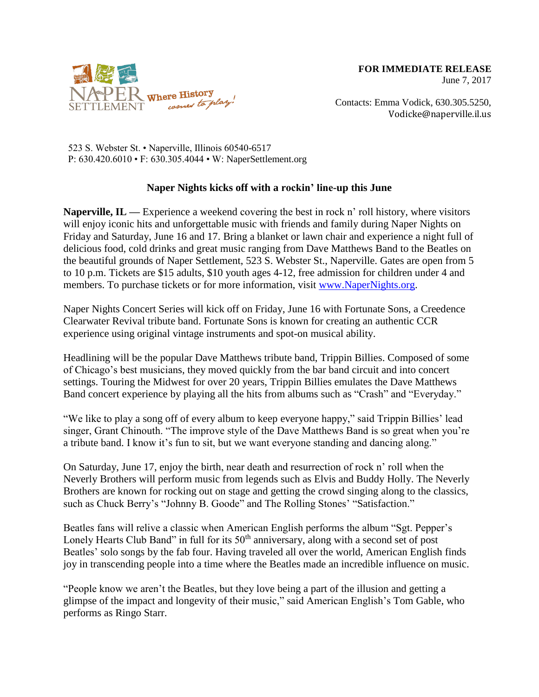

Contacts: Emma Vodick, 630.305.5250, Vodicke@naperville.il.us

523 S. Webster St. • Naperville, Illinois 60540-6517 P: 630.420.6010 • F: 630.305.4044 • W: NaperSettlement.org

## **Naper Nights kicks off with a rockin' line-up this June**

**Naperville, IL —** Experience a weekend covering the best in rock n' roll history, where visitors will enjoy iconic hits and unforgettable music with friends and family during Naper Nights on Friday and Saturday, June 16 and 17. Bring a blanket or lawn chair and experience a night full of delicious food, cold drinks and great music ranging from Dave Matthews Band to the Beatles on the beautiful grounds of Naper Settlement, 523 S. Webster St., Naperville. Gates are open from 5 to 10 p.m. Tickets are \$15 adults, \$10 youth ages 4-12, free admission for children under 4 and members. To purchase tickets or for more information, visit [www.NaperNights.org.](http://www.napernights.org/)

Naper Nights Concert Series will kick off on Friday, June 16 with Fortunate Sons, a Creedence Clearwater Revival tribute band. Fortunate Sons is known for creating an authentic CCR experience using original vintage instruments and spot-on musical ability.

Headlining will be the popular Dave Matthews tribute band, Trippin Billies. Composed of some of Chicago's best musicians, they moved quickly from the bar band circuit and into concert settings. Touring the Midwest for over 20 years, Trippin Billies emulates the Dave Matthews Band concert experience by playing all the hits from albums such as "Crash" and "Everyday."

"We like to play a song off of every album to keep everyone happy," said Trippin Billies' lead singer, Grant Chinouth. "The improve style of the Dave Matthews Band is so great when you're a tribute band. I know it's fun to sit, but we want everyone standing and dancing along."

On Saturday, June 17, enjoy the birth, near death and resurrection of rock n' roll when the Neverly Brothers will perform music from legends such as Elvis and Buddy Holly. The Neverly Brothers are known for rocking out on stage and getting the crowd singing along to the classics, such as Chuck Berry's "Johnny B. Goode" and The Rolling Stones' "Satisfaction."

Beatles fans will relive a classic when American English performs the album "Sgt. Pepper's Lonely Hearts Club Band" in full for its  $50<sup>th</sup>$  anniversary, along with a second set of post Beatles' solo songs by the fab four. Having traveled all over the world, American English finds joy in transcending people into a time where the Beatles made an incredible influence on music.

"People know we aren't the Beatles, but they love being a part of the illusion and getting a glimpse of the impact and longevity of their music," said American English's Tom Gable, who performs as Ringo Starr.